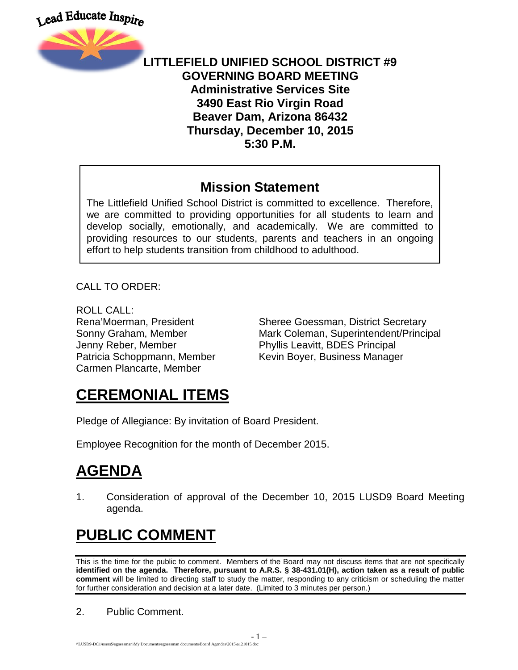



#### **LITTLEFIELD UNIFIED SCHOOL DISTRICT #9 GOVERNING BOARD MEETING Administrative Services Site 3490 East Rio Virgin Road Beaver Dam, Arizona 86432 Thursday, December 10, 2015 5:30 P.M.**

#### **Mission Statement**

The Littlefield Unified School District is committed to excellence. Therefore, we are committed to providing opportunities for all students to learn and develop socially, emotionally, and academically. We are committed to providing resources to our students, parents and teachers in an ongoing effort to help students transition from childhood to adulthood.

CALL TO ORDER:

ROLL CALL: Jenny Reber, Member Phyllis Leavitt, BDES Principal Carmen Plancarte, Member

Rena'Moerman, President Sheree Goessman, District Secretary Sonny Graham, Member **Mark Coleman, Superintendent/Principal** Patricia Schoppmann, Member Kevin Boyer, Business Manager

## **CEREMONIAL ITEMS**

Pledge of Allegiance: By invitation of Board President.

Employee Recognition for the month of December 2015.

## **AGENDA**

1. Consideration of approval of the December 10, 2015 LUSD9 Board Meeting agenda.

# **PUBLIC COMMENT**

This is the time for the public to comment. Members of the Board may not discuss items that are not specifically **identified on the agenda. Therefore, pursuant to A.R.S. § 38-431.01(H), action taken as a result of public comment** will be limited to directing staff to study the matter, responding to any criticism or scheduling the matter for further consideration and decision at a later date. (Limited to 3 minutes per person.)

2. Public Comment.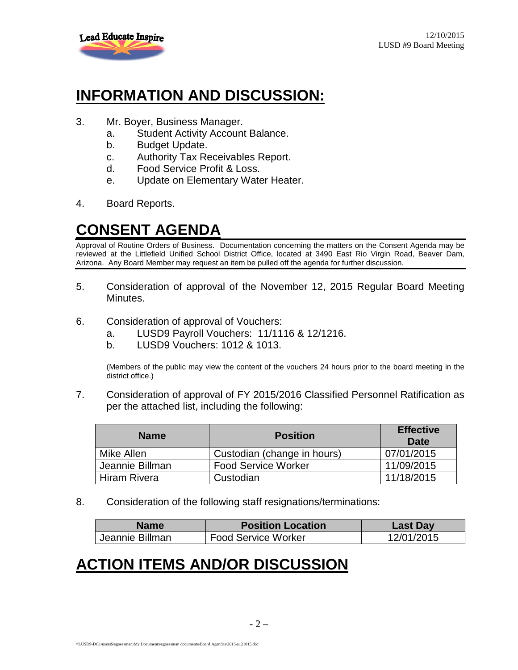

### **INFORMATION AND DISCUSSION:**

- 3. Mr. Boyer, Business Manager.
	- a. Student Activity Account Balance.
	- b. Budget Update.
	- c. Authority Tax Receivables Report.
	- d. Food Service Profit & Loss.
	- e. Update on Elementary Water Heater.
- 4. Board Reports.

### **CONSENT AGENDA**

Approval of Routine Orders of Business. Documentation concerning the matters on the Consent Agenda may be reviewed at the Littlefield Unified School District Office, located at 3490 East Rio Virgin Road, Beaver Dam, Arizona. Any Board Member may request an item be pulled off the agenda for further discussion.

- 5. Consideration of approval of the November 12, 2015 Regular Board Meeting Minutes.
- 6. Consideration of approval of Vouchers:
	- a. LUSD9 Payroll Vouchers: 11/1116 & 12/1216.
	- b. LUSD9 Vouchers: 1012 & 1013.

(Members of the public may view the content of the vouchers 24 hours prior to the board meeting in the district office.)

7. Consideration of approval of FY 2015/2016 Classified Personnel Ratification as per the attached list, including the following:

| <b>Name</b>     | <b>Position</b>             | <b>Effective</b><br><b>Date</b> |
|-----------------|-----------------------------|---------------------------------|
| Mike Allen      | Custodian (change in hours) | 07/01/2015                      |
| Jeannie Billman | <b>Food Service Worker</b>  | 11/09/2015                      |
| Hiram Rivera    | Custodian                   | 11/18/2015                      |

8. Consideration of the following staff resignations/terminations:

| <b>Name</b>     | <b>Position Location</b>   | <b>Last Day</b> |
|-----------------|----------------------------|-----------------|
| Jeannie Billman | <b>Food Service Worker</b> | 12/01/2015      |

## **ACTION ITEMS AND/OR DISCUSSION**